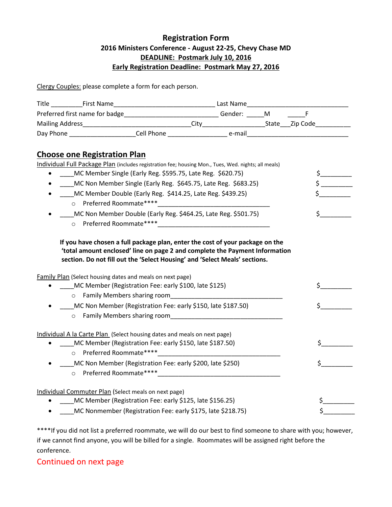## **Registration Form 2016 Ministers Conference - August 22-25, Chevy Chase MD DEADLINE: Postmark July 10, 2016 Early Registration Deadline: Postmark May 27, 2016**

Clergy Couples: please complete a form for each person.

| Preferred first name for badge_____________________________Gender: ______M ________F |                                                                                                                                                                                                  |  |  |                       |
|--------------------------------------------------------------------------------------|--------------------------------------------------------------------------------------------------------------------------------------------------------------------------------------------------|--|--|-----------------------|
|                                                                                      |                                                                                                                                                                                                  |  |  |                       |
|                                                                                      |                                                                                                                                                                                                  |  |  |                       |
|                                                                                      |                                                                                                                                                                                                  |  |  |                       |
| <b>Choose one Registration Plan</b>                                                  |                                                                                                                                                                                                  |  |  |                       |
|                                                                                      | Individual Full Package Plan (includes registration fee; housing Mon., Tues, Wed. nights; all meals)                                                                                             |  |  |                       |
|                                                                                      | MC Member Single (Early Reg. \$595.75, Late Reg. \$620.75)                                                                                                                                       |  |  |                       |
|                                                                                      | MC Non Member Single (Early Reg. \$645.75, Late Reg. \$683.25)                                                                                                                                   |  |  |                       |
|                                                                                      | MC Member Double (Early Reg. \$414.25, Late Reg. \$439.25)                                                                                                                                       |  |  |                       |
|                                                                                      | o Preferred Roommate****                                                                                                                                                                         |  |  |                       |
|                                                                                      | MC Non Member Double (Early Reg. \$464.25, Late Reg. \$501.75)                                                                                                                                   |  |  | $\sharp$ and $\sharp$ |
|                                                                                      |                                                                                                                                                                                                  |  |  |                       |
|                                                                                      | section. Do not fill out the 'Select Housing' and 'Select Meals' sections.<br>Family Plan (Select housing dates and meals on next page)<br>MC Member (Registration Fee: early \$100, late \$125) |  |  | \$                    |
|                                                                                      |                                                                                                                                                                                                  |  |  |                       |
|                                                                                      | MC Non Member (Registration Fee: early \$150, late \$187.50)                                                                                                                                     |  |  | \$                    |
|                                                                                      |                                                                                                                                                                                                  |  |  |                       |
|                                                                                      | Individual A la Carte Plan (Select housing dates and meals on next page)                                                                                                                         |  |  |                       |
| $\bullet$                                                                            | MC Member (Registration Fee: early \$150, late \$187.50)                                                                                                                                         |  |  |                       |
| $\circ$                                                                              | Preferred Roommate****                                                                                                                                                                           |  |  |                       |
|                                                                                      | MC Non Member (Registration Fee: early \$200, late \$250)                                                                                                                                        |  |  | \$                    |
|                                                                                      | o Preferred Roommate**** Preferred Roommate and Allen and Allen and Allen and Allen and Allen and Allen and Al                                                                                   |  |  |                       |
|                                                                                      | Individual Commuter Plan (Select meals on next page)                                                                                                                                             |  |  |                       |
|                                                                                      | MC Member (Registration Fee: early \$125, late \$156.25)                                                                                                                                         |  |  | \$.                   |
|                                                                                      | MC Nonmember (Registration Fee: early \$175, late \$218.75)                                                                                                                                      |  |  | \$                    |

\*\*\*\*If you did not list a preferred roommate, we will do our best to find someone to share with you; however, if we cannot find anyone, you will be billed for a single. Roommates will be assigned right before the conference.

### Continued on next page